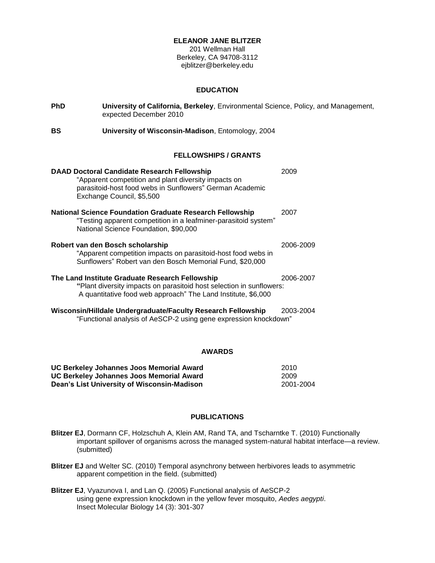# **ELEANOR JANE BLITZER**

201 Wellman Hall Berkeley, CA 94708-3112 ejblitzer@berkeley.edu

#### **EDUCATION**

| <b>PhD</b> | University of California, Berkeley, Environmental Science, Policy, and Management,<br>expected December 2010                                                                                        |           |  |
|------------|-----------------------------------------------------------------------------------------------------------------------------------------------------------------------------------------------------|-----------|--|
| <b>BS</b>  | University of Wisconsin-Madison, Entomology, 2004                                                                                                                                                   |           |  |
|            | <b>FELLOWSHIPS / GRANTS</b>                                                                                                                                                                         |           |  |
|            | <b>DAAD Doctoral Candidate Research Fellowship</b><br>"Apparent competition and plant diversity impacts on<br>parasitoid-host food webs in Sunflowers" German Academic<br>Exchange Council, \$5,500 | 2009      |  |
|            | <b>National Science Foundation Graduate Research Fellowship</b><br>"Testing apparent competition in a leafminer-parasitoid system"<br>National Science Foundation, \$90,000                         | 2007      |  |
|            | Robert van den Bosch scholarship<br>"Apparent competition impacts on parasitoid-host food webs in<br>Sunflowers" Robert van den Bosch Memorial Fund, \$20,000                                       | 2006-2009 |  |
|            | The Land Institute Graduate Research Fellowship<br>"Plant diversity impacts on parasitoid host selection in sunflowers:<br>A quantitative food web approach" The Land Institute, \$6,000            | 2006-2007 |  |
|            | Wisconsin/Hilldale Undergraduate/Faculty Research Fellowship<br>"Functional analysis of AeSCP-2 using gene expression knockdown"                                                                    | 2003-2004 |  |

# **AWARDS**

| UC Berkeley Johannes Joos Memorial Award    | 2010      |
|---------------------------------------------|-----------|
| UC Berkeley Johannes Joos Memorial Award    | 2009      |
| Dean's List University of Wisconsin-Madison | 2001-2004 |

#### **PUBLICATIONS**

- **Blitzer EJ**, Dormann CF, Holzschuh A, Klein AM, Rand TA, and Tscharntke T. (2010) Functionally important spillover of organisms across the managed system-natural habitat interface—a review. (submitted)
- **Blitzer EJ** and Welter SC. (2010) Temporal asynchrony between herbivores leads to asymmetric apparent competition in the field. (submitted)
- **Blitzer EJ**, Vyazunova I, and Lan Q. (2005) Functional analysis of AeSCP-2 using gene expression knockdown in the yellow fever mosquito, *Aedes aegypti*. Insect Molecular Biology 14 (3): 301-307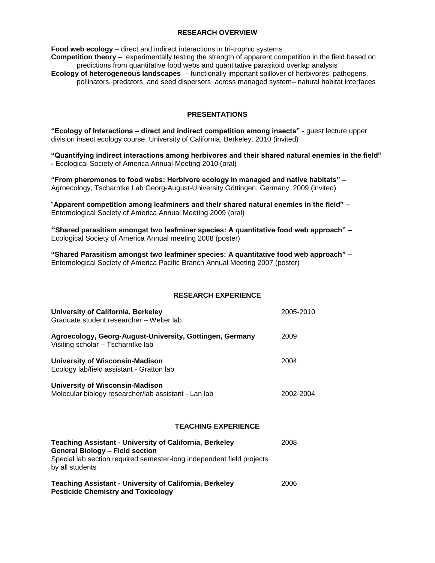### **RESEARCH OVERVIEW**

**Food web ecology** – direct and indirect interactions in tri-trophic systems **Competition theory** – experimentally testing the strength of apparent competition in the field based on predictions from quantitative food webs and quantitative parasitoid overlap analysis **Ecology of heterogeneous landscapes** – functionally important spillover of herbivores, pathogens, pollinators, predators, and seed dispersers across managed system– natural habitat interfaces

# **PRESENTATIONS**

**"Ecology of Interactions – direct and indirect competition among insects" -** guest lecture upper division insect ecology course, University of California, Berkeley, 2010 (invited)

**"Quantifying indirect interactions among herbivores and their shared natural enemies in the field" -** Ecological Society of America Annual Meeting 2010 (oral)

**"From pheromones to food webs: Herbivore ecology in managed and native habitats" –** Agroecology, Tscharntke Lab Georg-August-University Göttingen, Germany, 2009 (invited)

―**Apparent competition among leafminers and their shared natural enemies in the field" –** Entomological Society of America Annual Meeting 2009 (oral)

**"Shared parasitism amongst two leafminer species: A quantitative food web approach" –** Ecological Society of America Annual meeting 2008 (poster)

**"Shared Parasitism amongst two leafminer species: A quantitative food web approach" –** Entomological Society of America Pacific Branch Annual Meeting 2007 (poster)

# **RESEARCH EXPERIENCE**

| University of California, Berkeley<br>Graduate student researcher - Welter lab                 | 2005-2010 |
|------------------------------------------------------------------------------------------------|-----------|
| Agroecology, Georg-August-University, Göttingen, Germany<br>Visiting scholar – Tscharntke lab  | 2009      |
| <b>University of Wisconsin-Madison</b><br>Ecology lab/field assistant - Gratton lab            | 2004      |
| <b>University of Wisconsin-Madison</b><br>Molecular biology researcher/lab assistant - Lan lab | 2002-2004 |

### **TEACHING EXPERIENCE**

| <b>Teaching Assistant - University of California, Berkeley</b><br><b>General Biology - Field section</b><br>Special lab section required semester-long independent field projects |      |
|-----------------------------------------------------------------------------------------------------------------------------------------------------------------------------------|------|
| by all students                                                                                                                                                                   | 2006 |
| <b>Teaching Assistant - University of California, Berkeley</b><br><b>Pesticide Chemistry and Toxicology</b>                                                                       |      |